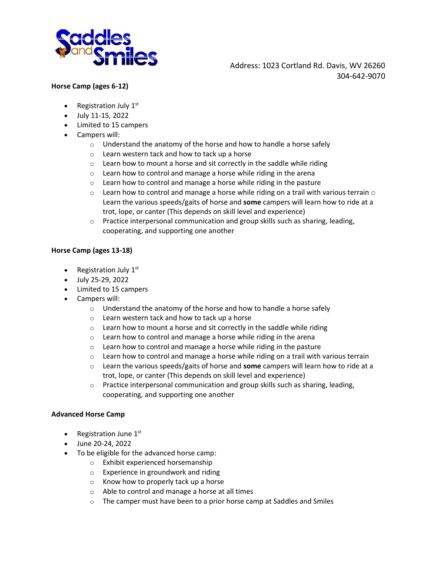

#### **Horse Camp (ages 6-12)**

- Registration July  $1<sup>st</sup>$
- July 11-15, 2022
- Limited to 15 campers
- Campers will:
	- $\circ$  Understand the anatomy of the horse and how to handle a horse safely
	- o Learn western tack and how to tack up a horse
	- $\circ$  Learn how to mount a horse and sit correctly in the saddle while riding
	- o Learn how to control and manage a horse while riding in the arena
	- $\circ$  Learn how to control and manage a horse while riding in the pasture
	- $\circ$  Learn how to control and manage a horse while riding on a trail with various terrain  $\circ$ Learn the various speeds/gaits of horse and **some** campers will learn how to ride at a trot, lope, or canter (This depends on skill level and experience)
	- o Practice interpersonal communication and group skills such as sharing, leading, cooperating, and supporting one another

#### **Horse Camp (ages 13-18)**

- Registration July 1st
- July 25-29, 2022
- Limited to 15 campers
- Campers will:
	- $\circ$  Understand the anatomy of the horse and how to handle a horse safely
	- o Learn western tack and how to tack up a horse
	- $\circ$  Learn how to mount a horse and sit correctly in the saddle while riding
	- o Learn how to control and manage a horse while riding in the arena
	- $\circ$  Learn how to control and manage a horse while riding in the pasture
	- $\circ$  Learn how to control and manage a horse while riding on a trail with various terrain
	- o Learn the various speeds/gaits of horse and **some** campers will learn how to ride at a trot, lope, or canter (This depends on skill level and experience)
	- o Practice interpersonal communication and group skills such as sharing, leading, cooperating, and supporting one another

#### **Advanced Horse Camp**

- Registration June  $1<sup>st</sup>$
- June 20-24, 2022
- To be eligible for the advanced horse camp:
	- o Exhibit experienced horsemanship
	- o Experience in groundwork and riding
	- o Know how to properly tack up a horse
	- o Able to control and manage a horse at all times
	- o The camper must have been to a prior horse camp at Saddles and Smiles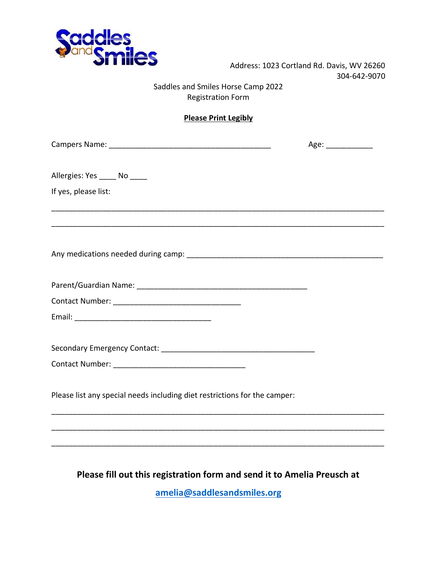

## Saddles and Smiles Horse Camp 2022 Registration Form

## **Please Print Legibly**

\_\_\_\_\_\_\_\_\_\_\_\_\_\_\_\_\_\_\_\_\_\_\_\_\_\_\_\_\_\_\_\_\_\_\_\_\_\_\_\_\_\_\_\_\_\_\_\_\_\_\_\_\_\_\_\_\_\_\_\_\_\_\_\_\_\_\_\_\_\_\_\_\_\_\_\_\_\_

\_\_\_\_\_\_\_\_\_\_\_\_\_\_\_\_\_\_\_\_\_\_\_\_\_\_\_\_\_\_\_\_\_\_\_\_\_\_\_\_\_\_\_\_\_\_\_\_\_\_\_\_\_\_\_\_\_\_\_\_\_\_\_\_\_\_\_\_\_\_\_\_\_\_\_\_\_\_

| Campers Name: |  |
|---------------|--|
|               |  |

Campers Name: \_\_\_\_\_\_\_\_\_\_\_\_\_\_\_\_\_\_\_\_\_\_\_\_\_\_\_\_\_\_\_\_\_\_\_\_\_\_ Age: \_\_\_\_\_\_\_\_\_\_\_

Allergies: Yes \_\_\_\_\_ No \_\_\_\_\_

If yes, please list:

Any medications needed during camp: \_\_\_\_\_\_\_\_\_\_\_\_\_\_\_\_\_\_\_\_\_\_\_\_\_\_\_\_\_\_\_\_\_\_\_\_\_\_\_\_\_\_\_\_\_\_

Parent/Guardian Name: \_\_\_\_\_\_\_\_\_\_\_\_\_\_\_\_\_\_\_\_\_\_\_\_\_\_\_\_\_\_\_\_\_\_\_\_\_\_\_\_

Contact Number: \_\_\_\_\_\_\_\_\_\_\_\_\_\_\_\_\_\_\_\_\_\_\_\_\_\_\_\_\_\_ Email: \_\_\_\_\_\_\_\_\_\_\_\_\_\_\_\_\_\_\_\_\_\_\_\_\_\_\_\_\_\_\_\_

Secondary Emergency Contact: \_\_\_\_\_\_\_\_\_\_\_\_\_\_\_\_\_\_\_\_\_\_\_\_\_\_\_\_\_\_\_\_\_\_\_\_

Contact Number: \_\_\_\_\_\_\_\_\_\_\_\_\_\_\_\_\_\_\_\_\_\_\_\_\_\_\_\_\_\_\_

Please list any special needs including diet restrictions for the camper:

# **Please fill out this registration form and send it to Amelia Preusch at**

\_\_\_\_\_\_\_\_\_\_\_\_\_\_\_\_\_\_\_\_\_\_\_\_\_\_\_\_\_\_\_\_\_\_\_\_\_\_\_\_\_\_\_\_\_\_\_\_\_\_\_\_\_\_\_\_\_\_\_\_\_\_\_\_\_\_\_\_\_\_\_\_\_\_\_\_\_\_

\_\_\_\_\_\_\_\_\_\_\_\_\_\_\_\_\_\_\_\_\_\_\_\_\_\_\_\_\_\_\_\_\_\_\_\_\_\_\_\_\_\_\_\_\_\_\_\_\_\_\_\_\_\_\_\_\_\_\_\_\_\_\_\_\_\_\_\_\_\_\_\_\_\_\_\_\_\_

\_\_\_\_\_\_\_\_\_\_\_\_\_\_\_\_\_\_\_\_\_\_\_\_\_\_\_\_\_\_\_\_\_\_\_\_\_\_\_\_\_\_\_\_\_\_\_\_\_\_\_\_\_\_\_\_\_\_\_\_\_\_\_\_\_\_\_\_\_\_\_\_\_\_\_\_\_\_

**[amelia@saddlesandsmiles.org](mailto:amelia@saddlesandsmiles.org)**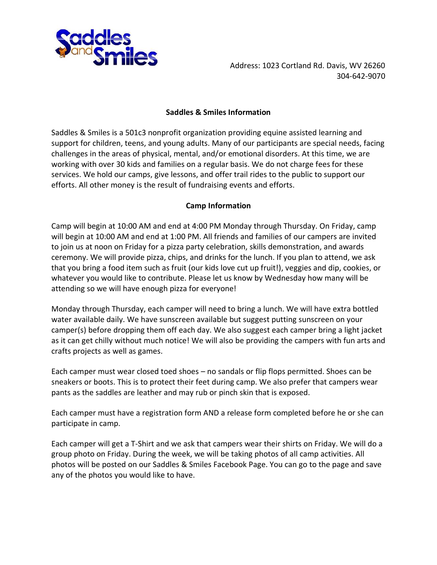

#### **Saddles & Smiles Information**

Saddles & Smiles is a 501c3 nonprofit organization providing equine assisted learning and support for children, teens, and young adults. Many of our participants are special needs, facing challenges in the areas of physical, mental, and/or emotional disorders. At this time, we are working with over 30 kids and families on a regular basis. We do not charge fees for these services. We hold our camps, give lessons, and offer trail rides to the public to support our efforts. All other money is the result of fundraising events and efforts.

## **Camp Information**

Camp will begin at 10:00 AM and end at 4:00 PM Monday through Thursday. On Friday, camp will begin at 10:00 AM and end at 1:00 PM. All friends and families of our campers are invited to join us at noon on Friday for a pizza party celebration, skills demonstration, and awards ceremony. We will provide pizza, chips, and drinks for the lunch. If you plan to attend, we ask that you bring a food item such as fruit (our kids love cut up fruit!), veggies and dip, cookies, or whatever you would like to contribute. Please let us know by Wednesday how many will be attending so we will have enough pizza for everyone!

Monday through Thursday, each camper will need to bring a lunch. We will have extra bottled water available daily. We have sunscreen available but suggest putting sunscreen on your camper(s) before dropping them off each day. We also suggest each camper bring a light jacket as it can get chilly without much notice! We will also be providing the campers with fun arts and crafts projects as well as games.

Each camper must wear closed toed shoes – no sandals or flip flops permitted. Shoes can be sneakers or boots. This is to protect their feet during camp. We also prefer that campers wear pants as the saddles are leather and may rub or pinch skin that is exposed.

Each camper must have a registration form AND a release form completed before he or she can participate in camp.

Each camper will get a T-Shirt and we ask that campers wear their shirts on Friday. We will do a group photo on Friday. During the week, we will be taking photos of all camp activities. All photos will be posted on our Saddles & Smiles Facebook Page. You can go to the page and save any of the photos you would like to have.